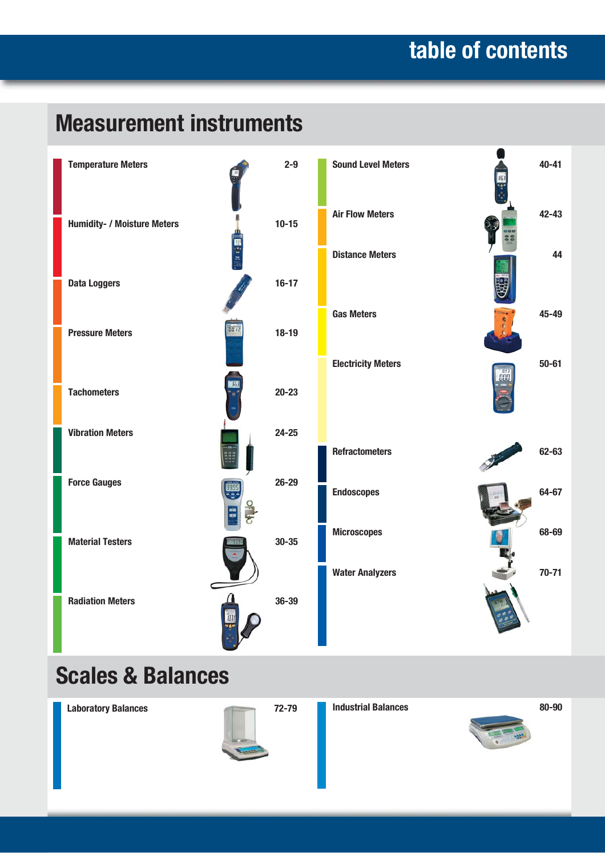# **table of contents**

# **Measurement instruments**



## **Scales & Balances**



**Laboratory Balances 72-79 Industrial Balances 80-90**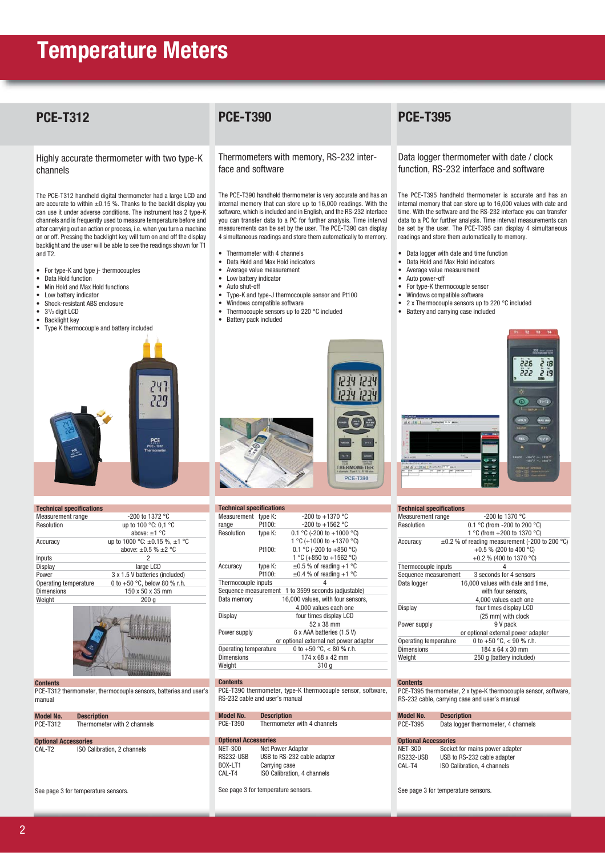### **PCE-T312**

Highly accurate thermometer with two type-K channels

The PCE-T312 handheld digital thermometer had a large LCD and are accurate to within  $\pm 0.15$  %. Thanks to the backlit display you can use it under adverse conditions. The instrument has 2 type-K channels and is frequently used to measure temperature before and after carrying out an action or process, i.e. when you turn a machine on or off. Pressing the backlight key will turn on and off the display backlight and the user will be able to see the readings shown for T1 and T2.

- For type-K and type j- thermocouples
- Data Hold function
- Min Hold and Max Hold functions
- Low battery indicator • Shock-resistant ABS enclosure<br>•  $3^{1/2}$  digit LCD
- 31/2 digit LCD
- Backlight key
- Type K thermocouple and battery included



| <b>Technical specifications</b> |                                         |  |  |
|---------------------------------|-----------------------------------------|--|--|
| Measurement range               | $-200$ to 1372 °C                       |  |  |
| Resolution                      | up to 100 °C: 0,1 °C                    |  |  |
|                                 | above: $\pm 1$ °C                       |  |  |
| Accuracy                        | up to 1000 °C: $\pm$ 0.15 %, $\pm$ 1 °C |  |  |
|                                 | above: $\pm 0.5$ % $\pm 2$ °C           |  |  |
| Inputs                          | 2                                       |  |  |
| Display                         | large LCD                               |  |  |
| Power                           | 3 x 1.5 V batteries (included)          |  |  |
| Operating temperature           | 0 to $+50$ °C, below 80 % r.h.          |  |  |
| <b>Dimensions</b>               | 150 x 50 x 35 mm                        |  |  |
| Weight                          | 200 <sub>a</sub>                        |  |  |
|                                 |                                         |  |  |



**Contents** PCE-T312 thermometer, thermocouple sensors, batteries and user's manual

| <b>Model No.</b>            | <b>Description</b>          |  |  |
|-----------------------------|-----------------------------|--|--|
| <b>PCE-T312</b>             | Thermometer with 2 channels |  |  |
| <b>Optional Accessories</b> |                             |  |  |
| CAL-T <sub>2</sub>          | ISO Calibration, 2 channels |  |  |

See page 3 for temperature sensors.

### **PCE-T390**

Thermometers with memory, RS-232 interface and software

The PCE-T390 handheld thermometer is very accurate and has an internal memory that can store up to 16,000 readings. With the software, which is included and in English, and the RS-232 interface you can transfer data to a PC for further analysis. Time interval measurements can be set by the user. The PCE-T390 can display 4 simultaneous readings and store them automatically to memory.

- Thermometer with 4 channels
- Data Hold and Max Hold indicators
- Average value measurement
- Low battery indicator
- Auto shut-off<br>• Tyne-K and ty

**Technical specifications**

- Type-K and type-J thermocouple sensor and Pt100<br>• Windows compatible software
- Windows compatible software
- Thermocouple sensors up to 220 °C included • Battery pack included



| <b>IGOIIIIIOAI SPECIIIOAUVIIS</b>                |                           |                                   |  |
|--------------------------------------------------|---------------------------|-----------------------------------|--|
| Measurement type K:                              |                           | $-200$ to $+1370$ °C              |  |
| range                                            | Pt100:                    | $-200$ to $+1562$ °C              |  |
| Resolution                                       | type K:                   | 0.1 °C (-200 to +1000 °C)         |  |
|                                                  |                           | 1 °C (+1000 to +1370 °C)          |  |
|                                                  | Pt100:                    | 0.1 °C (-200 to +850 °C)          |  |
|                                                  |                           | 1 °C (+850 to +1562 °C)           |  |
| Accuracy                                         | type K:                   | $\pm 0.5$ % of reading +1 °C      |  |
|                                                  | Pt100:                    | $\pm 0.4$ % of reading +1 °C      |  |
| Thermocouple inputs                              |                           | 4                                 |  |
| Sequence measurement                             |                           | 1 to 3599 seconds (adjustable)    |  |
| 16,000 values, with four sensors,<br>Data memory |                           |                                   |  |
| 4,000 values each one                            |                           |                                   |  |
| four times display LCD<br>Display                |                           |                                   |  |
|                                                  |                           | 52 x 38 mm                        |  |
| Power supply                                     | 6 x AAA batteries (1.5 V) |                                   |  |
| or optional external net power adaptor           |                           |                                   |  |
| Operating temperature                            |                           | 0 to +50 $\degree$ C, < 80 % r.h. |  |
| <b>Dimensions</b>                                |                           | 174 x 68 x 42 mm                  |  |
| Weight                                           |                           | 310 g                             |  |

**Contents**

PCE-T390 thermometer, type-K thermocouple sensor, software, RS-232 cable and user's manual

| Model No. | <b>Description</b>          |
|-----------|-----------------------------|
| PCE-T390  | Thermometer with 4 channels |

### **Optional Accessories**<br>NET-300 Net Po NET-300 Net Power Adaptor<br>RS232-USB USB to RS-232 cab

RS232-USB USB to RS-232 cable adapter<br>BOX-LT1 Carrying case BOX-LT1 Carrying case<br>CAL-T4 ISO Calibration ISO Calibration, 4 channels

See page 3 for temperature sensors.

### **PCE-T395**

Data logger thermometer with date / clock function, RS-232 interface and software

The PCE-T395 handheld thermometer is accurate and has an internal memory that can store up to 16,000 values with date and time. With the software and the RS-232 interface you can transfer data to a PC for further analysis. Time interval measurements can be set by the user. The PCE-T395 can display 4 simultaneous readings and store them automatically to memory.

- Data logger with date and time function
- Data Hold and Max Hold indicators
- Average value measurement
- Auto power-off
- For type-K thermocouple sensor
- Windows compatible software
- 2 x Thermocouple sensors up to 220 °C included
- Battery and carrying case included



| <b>Technical specifications</b> |                                                     |
|---------------------------------|-----------------------------------------------------|
| Measurement range               | -200 to 1370 °C                                     |
| Resolution                      | 0.1 °C (from -200 to 200 °C)                        |
|                                 | 1 °C (from +200 to 1370 °C)                         |
| Accuracy                        | $\pm 0.2$ % of reading measurement (-200 to 200 °C) |
|                                 | +0.5 % (200 to 400 °C)                              |
|                                 | +0.2 % (400 to 1370 °C)                             |
| Thermocouple inputs             |                                                     |
| Sequence measurement            | 3 seconds for 4 sensors                             |
| Data logger                     | 16,000 values with date and time,                   |
|                                 | with four sensors,                                  |
|                                 | 4,000 values each one                               |
| Display                         | four times display LCD                              |
|                                 | (25 mm) with clock                                  |
| Power supply                    | 9 V pack                                            |
|                                 | or optional external power adapter                  |
| Operating temperature           | 0 to $+50$ °C, $<$ 90 % r.h.                        |
| <b>Dimensions</b>               | 184 x 64 x 30 mm                                    |
| Weight                          | 250 g (battery included)                            |
|                                 |                                                     |

#### **Contents**

PCE-T395 thermometer, 2 x type-K thermocouple sensor, software, RS-232 cable, carrying case and user's manual

| Model No.                   | <b>Description</b>                  |  |
|-----------------------------|-------------------------------------|--|
| PCE-T395                    | Data logger thermometer, 4 channels |  |
| <b>Optional Accessories</b> |                                     |  |

| <b>Optional Accessories</b> |                                |  |  |
|-----------------------------|--------------------------------|--|--|
| NET-300                     | Socket for mains power adapter |  |  |
| RS232-USB                   | USB to RS-232 cable adapter    |  |  |
| CAL-T4                      | ISO Calibration, 4 channels    |  |  |
|                             |                                |  |  |

See page 3 for temperature sensors.



|        | <b>PCE-1390</b>           |  |
|--------|---------------------------|--|
|        |                           |  |
| ations |                           |  |
| ؛ K:   | $-200$ to $+1370$ °C      |  |
| 00:    | $-200$ to $+1562$ °C      |  |
| ؛ K:   | 0.1 °C (-200 to +1000 °C) |  |
|        | 1 °C (+1000 to +1370 °C)  |  |
| 00:    | 0.1 °C (-200 to +850 °C)  |  |
|        |                           |  |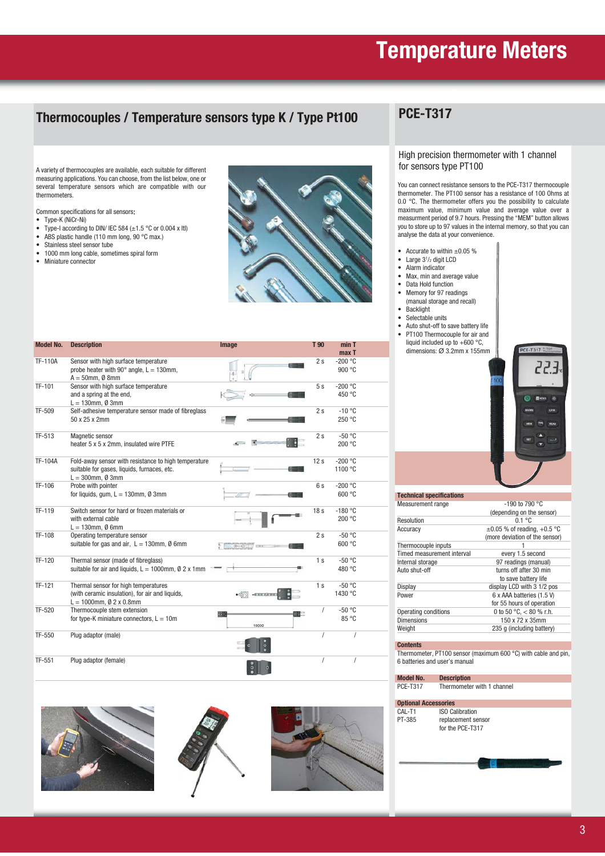### **Thermocouples / Temperature sensors type K / Type Pt100**

### **PCE-T317**

A variety of thermocouples are available, each suitable for different measuring applications. You can choose, from the list below, one or several temperature sensors which are compatible with our thermometers.

Common specifications for all sensors:

- Type-K (NiCr-Ni)<br>• Type-I according
- Type-I according to DIN/ IEC 584  $(\pm 1.5 \degree C$  or 0.004 x Itl) • ABS plastic handle (110 mm long, 90 °C max.)
- Stainless steel sensor tube
- 1000 mm long cable, sometimes spiral form
- Miniature connector



#### High precision thermometer with 1 channel for sensors type PT100

You can connect resistance sensors to the PCE-T317 thermocouple thermometer. The PT100 sensor has a resistance of 100 Ohms at 0.0 °C. The thermometer offers you the possibility to calculate maximum value, minimum value and average value over a measurment period of 9.7 hours. Pressing the "MEM" button allows you to store up to 97 values in the internal memory, so that you can analyse the data at your convenience.

- Accurate to within  $\pm 0.05$  %
- Large 3<sup>1</sup>/<sub>2</sub> digit LCD
- Alarm indicator<br>• Max. min and a
- Max, min and average value<br>• Data Hold function
- Data Hold function<br>• Memory for 97 read Memory for 97 readings
- (manual storage and recall)
- Backlight • Selectable units
- Auto shut-off to save battery life
- PT100 Thermocouple for air and liquid included up to  $+600$  °C, dimensions: Ø 3.2mm x 155mm



| Measurement range          | $-190$ to 790 °C                   |
|----------------------------|------------------------------------|
|                            | (depending on the sensor)          |
| Resolution                 | $0.1 \degree C$                    |
| Accuracy                   | $\pm 0.05$ % of reading, $+0.5$ °C |
|                            | (more deviation of the sensor)     |
| Thermocouple inputs        |                                    |
| Timed measurement interval | every 1.5 second                   |
| Internal storage           | 97 readings (manual)               |
| Auto shut-off              | turns off after 30 min             |
|                            | to save battery life               |
| Display                    | display LCD with 3 1/2 pos         |
| Power                      | 6 x AAA batteries (1.5 V)          |
|                            | for 55 hours of operation          |
| Operating conditions       | 0 to 50 °C, $<$ 80 % r.h.          |
| <b>Dimensions</b>          | 150 x 72 x 35mm                    |
| Weight                     | 235 g (including battery)          |

#### **Contents**

Thermometer, PT100 sensor (maximum 600 °C) with cable and pin, 6 batteries and user's manual

| <b>Model No.</b>            | <b>Description</b>         |
|-----------------------------|----------------------------|
| <b>PCE-T317</b>             | Thermometer with 1 channel |
| <b>Optional Accessories</b> |                            |
| CAL-T1                      | <b>ISO Calibration</b>     |
| PT-385                      | replacement sensor         |
|                             | for the PCE-T317           |
|                             |                            |
|                             |                            |
|                             |                            |
|                             |                            |
|                             |                            |

| <b>Model No.</b> | <b>Description</b>                                                                                                         | Image         | T 90            | min T<br>max T       |  |
|------------------|----------------------------------------------------------------------------------------------------------------------------|---------------|-----------------|----------------------|--|
| <b>TF-110A</b>   | Sensor with high surface temperature<br>probe heater with $90^\circ$ angle, L = 130mm,<br>$A = 50$ mm, Ø 8mm               |               | 2s              | $-200 °C$<br>900 °C  |  |
| TF-101           | Sensor with high surface temperature<br>and a spring at the end,<br>$L = 130$ mm, Ø 3mm                                    |               | 5s              | $-200 °C$<br>450 °C  |  |
| TF-509           | Self-adhesive temperature sensor made of fibreglass<br>50 x 25 x 2mm                                                       |               | 2s              | $-10 °C$<br>250 °C   |  |
| TF-513           | Magnetic sensor<br>heater 5 x 5 x 2mm, insulated wire PTFE                                                                 |               | 2s              | $-50 °C$<br>200 °C   |  |
| <b>TF-104A</b>   | Fold-away sensor with resistance to high temperature<br>suitable for gases, liquids, furnaces, etc.<br>$L = 300$ mm, Ø 3mm |               | 12s             | $-200 °C$<br>1100 °C |  |
| TF-106           | Probe with pointer<br>for liquids, qum, $L = 130$ mm, $\emptyset$ 3mm                                                      |               | 6s              | $-200 °C$<br>600 °C  |  |
| TF-119           | Switch sensor for hard or frozen materials or<br>with external cable<br>$L = 130$ mm, Ø 6mm                                |               | 18 <sub>s</sub> | $-180 °C$<br>200 °C  |  |
| TF-108           | Operating temperature sensor<br>suitable for gas and air, $L = 130$ mm, Ø 6mm                                              |               | 2s              | $-50 °C$<br>600 °C   |  |
| TF-120           | Thermal sensor (made of fibreglass)<br>suitable for air and liquids, $L = 1000$ mm, $\emptyset$ 2 x 1mm                    |               | 1 <sub>s</sub>  | $-50 °C$<br>480 °C   |  |
| TF-121           | Thermal sensor for high temperatures<br>(with ceramic insulation), for air and liquids,<br>$L = 1000$ mm, Ø 2 x 0.8mm      | $-0.00000000$ | 1 <sub>s</sub>  | $-50 °C$<br>1430 °C  |  |
| TF-520           | Thermocouple stem extension<br>for type-K miniature connectors, $L = 10m$                                                  | æ<br>10000    | 1               | $-50 °C$<br>85 °C    |  |
| TF-550           | Plug adaptor (male)                                                                                                        |               | $\overline{I}$  | $\prime$             |  |
| TF-551           | Plug adaptor (female)                                                                                                      |               | $\overline{I}$  | $\prime$             |  |





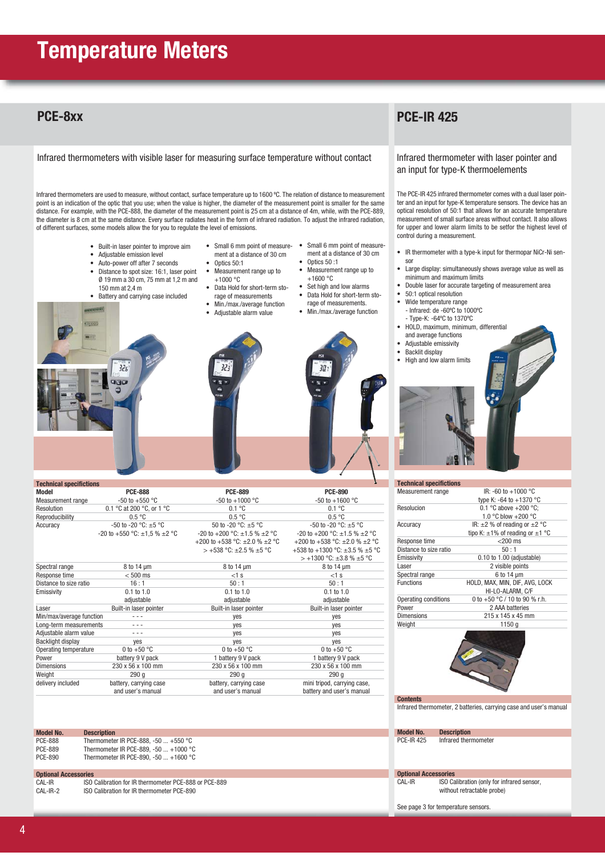### **PCE-8xx**

Infrared thermometers with visible laser for measuring surface temperature without contact

Infrared thermometers are used to measure, without contact, surface temperature up to 1600 ºC. The relation of distance to measurement point is an indication of the optic that you use; when the value is higher, the diameter of the measurement point is smaller for the same distance. For example, with the PCE-888, the diameter of the measurement point is 25 cm at a distance of 4m, while, with the PCE-889, the diameter is 8 cm at the same distance. Every surface radiates heat in the form of infrared radiation. To adjust the infrared radiation, of different surfaces, some models allow the for you to regulate the level of emissions.

• Optics 50:1<br>• Measureme

+1000 °C

- Built-in laser pointer to improve aim
- Adjustable emission level
- Auto-power off after 7 seconds
- Distance to spot size: 16:1, laser point Ø 19 mm a 30 cm, 75 mm at 1,2 m and 150 mm at 2,4 m
- Battery and carrying case included

 $32s$ 

**CREW** 



• Measurement range up to

• Data Hold for short-term sto-

- Small 6 mm point of measure- Small 6 mm point of measurement at a distance of 30 cm ment at a distance of 30 cm
	- Measurement range up to
	- Set high and low alarms
	- rage of measurements.
	-





| ь<br><b>Technical specifictions</b> |                                        |                                              |                                            |  |  |  |
|-------------------------------------|----------------------------------------|----------------------------------------------|--------------------------------------------|--|--|--|
| Model                               | <b>PCE-888</b>                         | <b>PCE-889</b>                               | <b>PCE-890</b>                             |  |  |  |
| Measurement range                   | $-50$ to $+550$ °C                     | $-50$ to $+1000$ °C                          | $-50$ to $+1600$ °C                        |  |  |  |
| Resolution                          | 0.1 °C at 200 °C, or 1 °C              | 0.1 °C                                       | 0.1 °C                                     |  |  |  |
| Reproducibility                     | 0.5 °C                                 | 0.5 °C                                       | 0.5 °C                                     |  |  |  |
| Accuracy                            | $-50$ to $-20$ °C: $\pm 5$ °C          | 50 to -20 $^{\circ}$ C: $\pm$ 5 $^{\circ}$ C | $-50$ to $-20$ °C: $\pm 5$ °C              |  |  |  |
|                                     | -20 to +550 °C: $\pm$ 1,5 % $\pm$ 2 °C | -20 to +200 °C: $\pm$ 1.5 % $\pm$ 2 °C       | $-20$ to $+200$ °C: $\pm 1.5$ % $\pm 2$ °C |  |  |  |
|                                     |                                        | +200 to +538 °C: $\pm$ 2.0 % $\pm$ 2 °C      | +200 to +538 °C: $\pm 2.0$ % $\pm 2$ °C    |  |  |  |
|                                     |                                        | $> +538$ °C: $\pm 2.5$ % $\pm 5$ °C          | +538 to +1300 °C: $\pm$ 3.5 % $\pm$ 5 °C   |  |  |  |
|                                     |                                        |                                              | $> +1300$ °C: $\pm 3.8$ % $\pm 5$ °C       |  |  |  |
| Spectral range                      | $8$ to 14 $\mu$ m                      | $8$ to 14 $\mu$ m                            | $8$ to 14 $\mu$ m                          |  |  |  |
| Response time                       | $< 500$ ms                             | $<1$ s                                       | $<1$ s                                     |  |  |  |
| Distance to size ratio              | 16:1                                   | 50:1                                         | 50:1                                       |  |  |  |
| Emissivity                          | $0.1$ to $1.0$                         | $0.1$ to $1.0$                               | $0.1$ to $1.0$                             |  |  |  |
|                                     | adjustable                             | adjustable                                   | adjustable                                 |  |  |  |
| Laser                               | Built-in laser pointer                 | Built-in laser pointer                       | Built-in laser pointer                     |  |  |  |
| Min/max/average function            |                                        | ves                                          | yes                                        |  |  |  |
| Long-term measurements              | - - -                                  | ves                                          | ves                                        |  |  |  |
| Adjustable alarm value              | - - -                                  | ves                                          | ves                                        |  |  |  |
| Backlight display                   | ves                                    | ves                                          | yes                                        |  |  |  |
| Operating temperature               | 0 to $+50$ °C                          | 0 to $+50$ °C                                | 0 to $+50$ °C                              |  |  |  |
| Power                               | battery 9 V pack                       | 1 battery 9 V pack                           | 1 battery 9 V pack                         |  |  |  |
| <b>Dimensions</b>                   | 230 x 56 x 100 mm                      | 230 x 56 x 100 mm                            | 230 x 56 x 100 mm                          |  |  |  |
| Weight                              | 290q                                   | 290q                                         | 290q                                       |  |  |  |
| delivery included                   | battery, carrying case                 | battery, carrying case                       | mini tripod, carrying case,                |  |  |  |
|                                     | and user's manual                      | and user's manual                            | battery and user's manual                  |  |  |  |
|                                     |                                        |                                              |                                            |  |  |  |

| <b>Model No.</b> | <b>Description</b>                           |
|------------------|----------------------------------------------|
| PCE-888          | Thermometer IR PCE-888, -50 $\dots$ +550 °C  |
| PCE-889          | Thermometer IR PCE-889, -50 $\dots$ +1000 °C |
| PCE-890          | Thermometer IR PCE-890, -50 $\dots$ +1600 °C |

### **Optional Acce CAL-IR ISO Calibration for IR thermometer PCE-888 or PCE-889**<br>CAL-IR-2 ISO Calibration for IR thermometer PCE-890

ISO Calibration for IR thermometer PCE-890

## **PCE-IR 425**

Infrared thermometer with laser pointer and an input for type-K thermoelements

The PCE-IR 425 infrared thermometer comes with a dual laser pointer and an input for type-K temperature sensors. The device has an optical resolution of 50:1 that allows for an accurate temperature measurement of small surface areas without contact. It also allows for upper and lower alarm limits to be setfor the highest level of control during a measurement.

- IR thermometer with a type-k input for thermopar NiCr-Ni sensor
- Large display: simultaneously shows average value as well as minimum and maximum limits
- Double laser for accurate targeting of measurement area
- 50:1 optical resolution
- Wide temperature range
	- Infrared: de -60ºC to 1000ºC
- Type-K: -64ºC to 1370ºC • HOLD, maximum, minimum, differential
- and average functions
- Adjustable emissivity
- Backlit display
- High and low alarm limits



| <b>Technical specifictions</b> |                                           |  |  |
|--------------------------------|-------------------------------------------|--|--|
| Measurement range              | IR: -60 to +1000 °C                       |  |  |
|                                | type K: -64 to $+1370$ °C                 |  |  |
| Resolucion                     | 0.1 °C above $+200$ °C;                   |  |  |
|                                | 1.0 °C blow +200 °C                       |  |  |
| Accuracy                       | IR: $\pm 2$ % of reading or $\pm 2$ °C    |  |  |
|                                | tipo K: $\pm$ 1% of reading or $\pm$ 1 °C |  |  |
| Response time                  | $<$ 200 ms                                |  |  |
| Distance to size ratio         | 50:1                                      |  |  |
| Emissivity                     | $0.10$ to $1.00$ (adjustable)             |  |  |
| Laser                          | 2 visible points                          |  |  |
| Spectral range                 | $6$ to 14 $\mu$ m                         |  |  |
| <b>Functions</b>               | HOLD, MAX, MIN, DIF, AVG, LOCK            |  |  |
|                                | HI-LO-ALARM. C/F                          |  |  |
| Operating conditions           | 0 to $+50$ °C / 10 to 90 % r.h.           |  |  |
| Power                          | 2 AAA batteries                           |  |  |
| <b>Dimensions</b>              | 215 x 145 x 45 mm                         |  |  |
| Weight                         | 1150 g                                    |  |  |



**Contents**

Infrared thermometer, 2 batteries, carrying case and user's manual

| <b>Model No.</b>  | <b>Description</b>   |
|-------------------|----------------------|
| <b>PCE-IR 425</b> | Infrared thermometer |

**Optional Accessories**<br>CAL-IR **ISO Ca** ISO Calibration (only for infrared sensor, without retractable probe)

See page 3 for temperature sensors.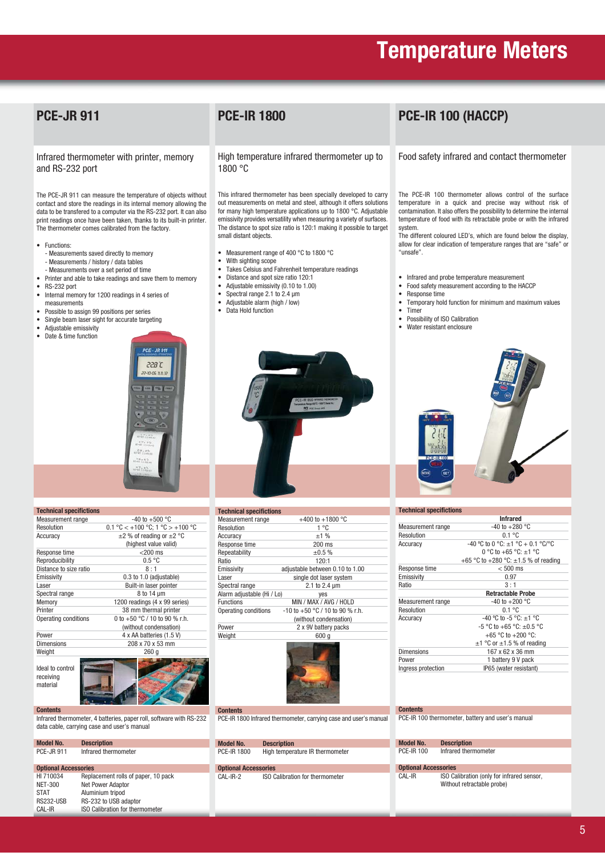## **PCE-JR 911**

Infrared thermometer with printer, memory and RS-232 port

The PCE-JR 911 can measure the temperature of objects without contact and store the readings in its internal memory allowing the data to be transfered to a computer via the RS-232 port. It can also print readings once have been taken, thanks to its built-in printer. The thermometer comes calibrated from the factory.

- Functions:
	- Measurements saved directly to memory - Measurements / history / data tables
- Measurements over a set period of time • Printer and able to take readings and save them to memory
- 
- RS-232 port • Internal memory for 1200 readings in 4 series of measurements
- Possible to assign 99 positions per series
- Single beam laser sight for accurate targeting
- Adjustable emissivity
- Date & time function



| <b>Technical specifictions</b> |                                                                           |  |
|--------------------------------|---------------------------------------------------------------------------|--|
| <b>Measurement</b> range       | $-40$ to $+500$ °C                                                        |  |
| Resolution                     | $0.1 \text{ °C}$ < +100 $\text{ °C}$ ; 1 $\text{ °C}$ > +100 $\text{ °C}$ |  |
| Accuracy                       | $\pm$ 2 % of reading or $\pm$ 2 °C                                        |  |
|                                | (highest value valid)                                                     |  |
| Response time                  | $<$ 200 ms                                                                |  |
| Reproducibility                | 0.5 °C                                                                    |  |
| Distance to size ratio         | $8 \cdot 1$                                                               |  |
| Emissivity                     | 0.3 to 1.0 (adjustable)                                                   |  |
| Laser                          | Built-in laser pointer                                                    |  |
| Spectral range                 | 8 to 14 um                                                                |  |
| Memory                         | 1200 readings (4 x 99 series)                                             |  |
| Printer                        | 38 mm thermal printer                                                     |  |
| Operating conditions           | 0 to $+50$ °C / 10 to 90 % r.h.                                           |  |
|                                | (without condensation)                                                    |  |
| Power                          | 4 x AA batteries (1.5 V)                                                  |  |
| Dimensions                     | 208 x 70 x 53 mm                                                          |  |
| Weight                         | 260 a                                                                     |  |
|                                |                                                                           |  |

Ideal to control receiving material



#### **Contents**

Infrared thermometer, 4 batteries, paper roll, software with RS-232 data cable, carrying case and user's manual

| <b>Model No.</b>            | <b>Description</b>                  |  |  |
|-----------------------------|-------------------------------------|--|--|
| <b>PCE-JR 911</b>           | Infrared thermometer                |  |  |
|                             |                                     |  |  |
| <b>Optional Accessories</b> |                                     |  |  |
| HI 710034                   | Replacement rolls of paper, 10 pack |  |  |
| <b>NET-300</b>              | <b>Net Power Adaptor</b>            |  |  |
| <b>STAT</b>                 | Aluminium tripod                    |  |  |
| <b>RS232-USB</b>            | RS-232 to USB adaptor               |  |  |

CAL-IR ISO Calibration for thermometer

### **PCE-IR 1800**

High temperature infrared thermometer up to 1800 °C

This infrared thermometer has been specially developed to carry out measurements on metal and steel, although it offers solutions for many high temperature applications up to 1800 °C. Adjustable emissivity provides versatility when measuring a variety of surfaces. The distance to spot size ratio is 120:1 making it possible to target small distant objects.

- Measurement range of 400 °C to 1800 °C
- With sighting scope
- Takes Celsius and Fahrenheit temperature readings
- Distance and spot size ratio 120:1
- Adjustable emissivity  $(0.10 \text{ to } 1.00)$ <br>• Spectral range  $2.1 \text{ to } 2.4 \text{ µm}$
- Spectral range  $2.1$  to  $2.4 \mu m$ <br>• Adjustable alarm (high / low)
- Adjustable alarm (high / low)
- Data Hold function



| <b>Technical specifictions</b> |                                     |  |
|--------------------------------|-------------------------------------|--|
| Measurement range              | +400 to +1800 $^{\circ}$ C          |  |
| Resolution                     | 1 °C                                |  |
| Accuracy                       | ±1%                                 |  |
| Response time                  | $200$ ms                            |  |
| Repeatability                  | $+0.5%$                             |  |
| Ratio                          | $120-1$                             |  |
| Emissivity                     | adjustable between 0.10 to 1.00     |  |
| Laser                          | single dot laser system             |  |
| Spectral range                 | 2.1 to 2.4 um                       |  |
| Alarm adjustable (Hi / Lo)     | yes                                 |  |
| <b>Functions</b>               | MIN / MAX / AVG / HOLD              |  |
| Operating conditions           | $-10$ to $+50$ °C / 10 to 90 % r.h. |  |
|                                | (without condensation)              |  |
| Power                          | 2 x 9V battery packs                |  |
| Weight                         | 600 a                               |  |
|                                |                                     |  |



**Contents**

PCE-IR 1800 Infrared thermometer, carrying case and user's manual

**Model No. Description** PCE-IR 1800 High temperature IR thermometer

**Optional Accessories**<br>CAL-IR-2 **ISO C** ISO Calibration for thermometer

## **PCE-IR 100 (HACCP)**

#### Food safety infrared and contact thermometer

The PCE-IR 100 thermometer allows control of the surface temperature in a quick and precise way without risk of contamination. It also offers the possibility to determine the internal temperature of food with its retractable probe or with the infrared system.

The different coloured LED's, which are found below the display, allow for clear indication of temperature ranges that are "safe" or "unsafe".

- Infrared and probe temperature measurement
- Food safety measurement according to the HACCP<br>• Resnonse time
- Response time
- Temporary hold function for minimum and maximum values
- Timer
- Possibility of ISO Calibration
- Water resistant enclosure



| <b>Technical specifictions</b> |                                           |  |  |
|--------------------------------|-------------------------------------------|--|--|
|                                | <b>Infrared</b>                           |  |  |
| Measurement range              | $-40$ to $+280$ °C                        |  |  |
| Resolution                     | 0 1 °C                                    |  |  |
| Accuracy                       | $-40$ °C to 0 °C: $\pm$ 1 °C + 0.1 °C/°C  |  |  |
|                                | 0 °C to +65 °C: $\pm$ 1 °C                |  |  |
|                                | +65 °C to +280 °C: $\pm$ 1.5 % of reading |  |  |
| Response time                  | $< 500$ ms                                |  |  |
| Emissivity                     | 0.97                                      |  |  |
| Ratio                          | $3 \cdot 1$                               |  |  |
|                                | <b>Retractable Probe</b>                  |  |  |
| Measurement range              | $-40$ to $+200$ °C                        |  |  |
| Resolution                     | 0 1 °C                                    |  |  |
| Accuracy                       | $-40$ °C to $-5$ °C: $\pm$ 1 °C           |  |  |
|                                | $-5$ °C to $+65$ °C: $\pm 0.5$ °C         |  |  |
|                                | +65 °C to +200 °C:                        |  |  |
|                                | $\pm$ 1 °C or $\pm$ 1.5 % of reading      |  |  |
| Dimensions                     | 167 x 62 x 36 mm                          |  |  |
| Power                          | 1 battery 9 V pack                        |  |  |
| Ingress protection             | IP65 (water resistant)                    |  |  |
|                                |                                           |  |  |

#### **Contents**

PCE-IR 100 thermometer, battery and user's manual

| <b>Model No.</b>            | <b>Description</b>                                                       |
|-----------------------------|--------------------------------------------------------------------------|
| <b>PCE-IR 100</b>           | Infrared thermometer                                                     |
| <b>Optional Accessories</b> |                                                                          |
| CAL-IR                      | ISO Calibration (only for infrared sensor,<br>Without retractable probe) |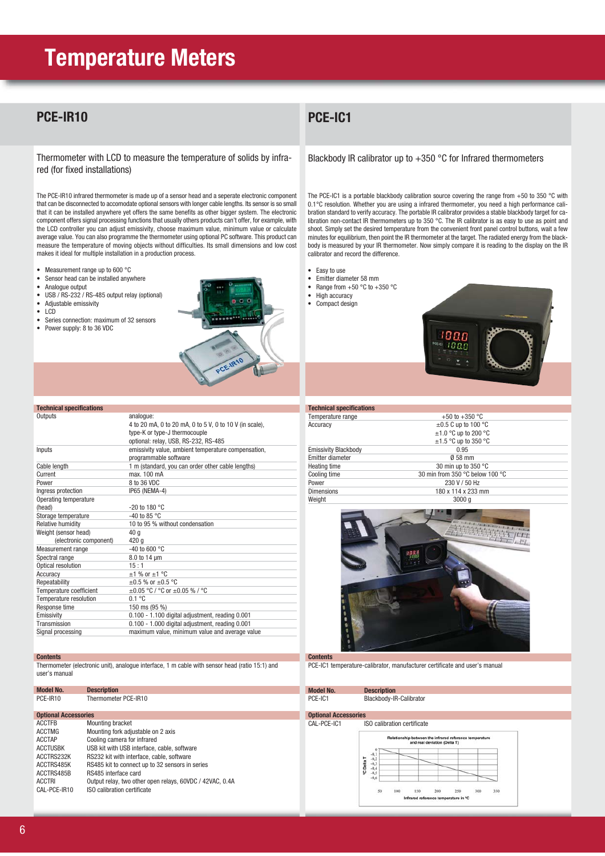### **PCE-IR10**

Thermometer with LCD to measure the temperature of solids by infrared (for fixed installations)

The PCE-IR10 infrared thermometer is made up of a sensor head and a seperate electronic component that can be disconnected to accomodate optional sensors with longer cable lengths. Its sensor is so small that it can be installed anywhere yet offers the same benefits as other bigger system. The electronic component offers signal processing functions that usually others products can't offer, for example, with the LCD controller you can adjust emissivity, choose maximum value, minimum value or calculate average value. You can also programme the thermometer using optional PC software. This product can measure the temperature of moving objects without difficulties. Its small dimensions and low cost makes it ideal for multiple installation in a production process.

- Measurement range up to 600 °C
- Sensor head can be installed anywhere • Analogue output
- 
- USB / RS-232 / RS-485 output relay (optional)<br>• Adjustable emissivity • Adjustable emissivity<br>• ICD
- 
- LCD<br>• Serie
- Series connection: maximum of 32 sensors
- Power supply: 8 to 36 VDC

**Technical specifications**



| Outputs                  | analogue:                                               |  |
|--------------------------|---------------------------------------------------------|--|
|                          | 4 to 20 mA, 0 to 20 mA, 0 to 5 V, 0 to 10 V (in scale), |  |
|                          | type-K or type-J thermocouple                           |  |
|                          | optional: relay, USB, RS-232, RS-485                    |  |
| Inputs                   | emissivity value, ambient temperature compensation,     |  |
|                          | programmable software                                   |  |
| Cable length             | 1 m (standard, you can order other cable lengths)       |  |
| Current                  | max. 100 mA                                             |  |
| Power                    | 8 to 36 VDC                                             |  |
| Ingress protection       | IP65 (NEMA-4)                                           |  |
| Operating temperature    |                                                         |  |
| (head)                   | $-20$ to 180 °C                                         |  |
| Storage temperature      | $-40$ to 85 °C                                          |  |
| <b>Relative humidity</b> | 10 to 95 % without condensation                         |  |
| Weight (sensor head)     | 40 a                                                    |  |
| (electronic component)   | 420q                                                    |  |
| Measurement range        | $-40$ to 600 °C                                         |  |
| Spectral range           | $8.0$ to 14 $\mu$ m                                     |  |
| Optical resolution       | 15:1                                                    |  |
| Accuracy                 | $±1$ % or $±1$ °C                                       |  |
| Repeatability            | $\pm 0.5$ % or $\pm 0.5$ °C                             |  |
| Temperature coefficient  | $\pm 0.05$ °C / °C or $\pm 0.05$ % / °C                 |  |
| Temperature resolution   | 0.1 °C                                                  |  |
| Response time            | 150 ms (95 %)                                           |  |
| Emissivity               | 0.100 - 1.100 digital adjustment, reading 0.001         |  |
| Transmission             | 0.100 - 1.000 digital adjustment, reading 0.001         |  |
| Signal processing        | maximum value, minimum value and average value          |  |

#### **Contents**

Thermometer (electronic unit), analogue interface, 1 m cable with sensor head (ratio 15:1) and user's manual

| <b>Model No.</b>            | <b>Description</b>                                       |
|-----------------------------|----------------------------------------------------------|
| PCE-IR10                    | Thermometer PCE-IR10                                     |
| <b>Optional Accessories</b> |                                                          |
| <b>ACCTFB</b>               | <b>Mounting bracket</b>                                  |
| <b>ACCTMG</b>               | Mounting fork adjustable on 2 axis                       |
| <b>ACCTAP</b>               | Cooling camera for infrared                              |
| <b>ACCTUSBK</b>             | USB kit with USB interface, cable, software              |
| ACCTRS232K                  | RS232 kit with interface, cable, software                |
| ACCTRS485K                  | RS485 kit to connect up to 32 sensors in series          |
| ACCTRS485B                  | RS485 interface card                                     |
| <b>ACCTRI</b>               | Output relay, two other open relays, 60VDC / 42VAC, 0.4A |
| CAL-PCE-IR10                | ISO calibration certificate                              |
|                             |                                                          |

## **PCE-IC1**

Blackbody IR calibrator up to +350 °C for Infrared thermometers

The PCE-IC1 is a portable blackbody calibration source covering the range from +50 to 350 °C with 0.1°C resolution. Whether you are using a infrared thermometer, you need a high performance calibration standard to verify accuracy. The portable IR calibrator provides a stable blackbody target for calibration non-contact IR thermometers up to 350 °C. The IR calibrator is as easy to use as point and shoot. Simply set the desired temperature from the convenient front panel control buttons, wait a few minutes for equilibrium, then point the IR thermometer at the target. The radiated energy from the blackbody is measured by your IR thermometer. Now simply compare it is reading to the display on the IR calibrator and record the difference.

- Easy to use
- Emitter diameter 58 mm
- Range from  $+50$  °C to  $+350$  °C
- High accuracy • Compact design



| <b>Technical specifications</b> |                                 |  |
|---------------------------------|---------------------------------|--|
| Temperature range               | +50 to +350 $^{\circ}$ C        |  |
| Accuracy                        | $\pm 0.5$ C up to 100 °C        |  |
|                                 | $\pm$ 1.0 °C up to 200 °C       |  |
|                                 | $\pm$ 1.5 °C up to 350 °C       |  |
| <b>Emissivity Blackbody</b>     | 0.95                            |  |
| Emitter diameter                | 0 58 mm                         |  |
| Heating time                    | 30 min up to 350 °C             |  |
| Cooling time                    | 30 min from 350 °C below 100 °C |  |
| Power                           | 230 V / 50 Hz                   |  |
| <b>Dimensions</b>               | 180 x 114 x 233 mm              |  |
| Weight                          | 3000q                           |  |
|                                 |                                 |  |



**Contents**

PCE-IC1 temperature-calibrator, manufacturer certificate and user's manual

**Model No. Description**<br>
PCE-IC1 Blackbody-IF Blackbody-IR-Calibrator **Optional Accessories** CAL-PCE-IC1 ISO calibration certificate ship between the infrared reference temperate<br>and real deviation (Delta T) **Dolari** <sup>o</sup>C Delta T  $50$  $10<sub>1</sub>$ 150 200 250 ure in °C ed re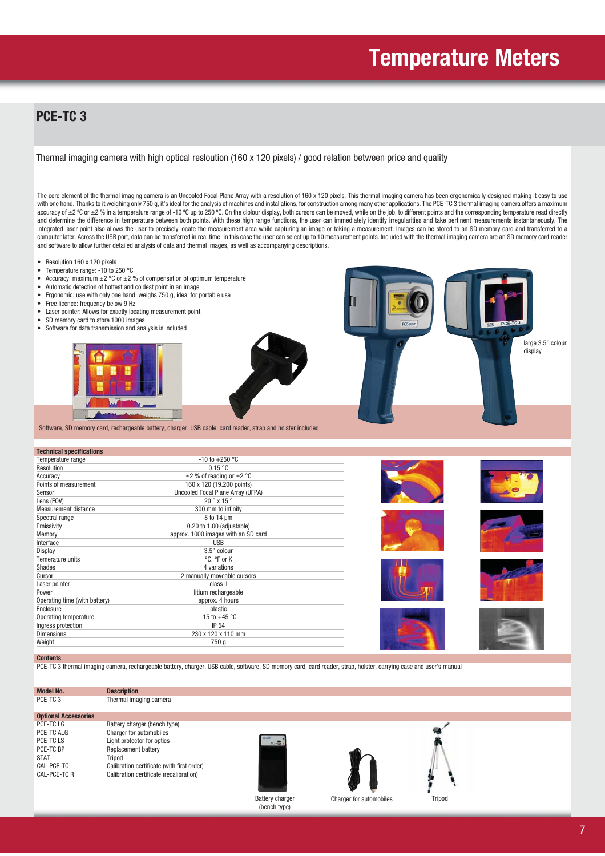## **PCE-TC 3**

Thermal imaging camera with high optical resloution (160 x 120 pixels) / good relation between price and quality

The core element of the thermal imaging camera is an Uncooled Focal Plane Array with a resolution of 160 x 120 pixels. This thermal imaging camera has been ergonomically designed making it easy to use with one hand. Thanks to it weighing only 750 g, it's ideal for the analysis of machines and installations, for construction among many other applications. The PCE-TC 3 thermal imaging camera offers a maximum accuracy of ±2 °C or ±2 % in a temperature range of -10 °C up to 250 °C. On the clolour display, both cursors can be moved, while on the job, to different points and the corresponding temperature read directly and determine the difference in temperature between both points. With these high range functions, the user can immediately identify irregularities and take pertinent measurements instantaneously. The integrated laser point also allows the user to precisely locate the measurement area while capturing an image or taking a measurement. Images can be stored to an SD memory card and transferred to a computer later. Across the USB port, data can be transferred in real time; in this case the user can select up to 10 measurement points. Included with the thermal imaging camera are an SD memory card reader and software to allow further detailed analysis of data and thermal images, as well as accompanying descriptions.

- Resolution 160 x 120 pixels
- Temperature range: -10 to 250 °C
- Accuracy: maximum  $\pm 2$  °C or  $\pm 2$  % of compensation of optimum temperature
- Automatic detection of hottest and coldest point in an image
- Ergonomic: use with only one hand, weighs 750 g, ideal for portable use
- Free licence: frequency below 9 Hz<br>• Laser pointer: Allows for exactly loc
- Laser pointer: Allows for exactly locating measurement point
- SD memory card to store 1000 images<br>• Software for data transmission and ana
- Software for data transmission and analysis is included



Software, SD memory card, rechargeable battery, charger, USB cable, card reader, strap and holster included

#### **Technical specifications**

| <b>regiminal specifications</b> |                                     |  |
|---------------------------------|-------------------------------------|--|
| Temperature range               | $-10$ to $+250$ °C                  |  |
| Resolution                      | 0.15 °C                             |  |
| Accuracy                        | $\pm$ 2 % of reading or $\pm$ 2 °C  |  |
| Points of measurement           | 160 x 120 (19.200 points)           |  |
| Sensor                          | Uncooled Focal Plane Array (UFPA)   |  |
| Lens (FOV)                      | $20^\circ$ x 15 $^\circ$            |  |
| Measurement distance            | 300 mm to infinity                  |  |
| Spectral range                  | 8 to 14 um                          |  |
| Emissivity                      | 0.20 to 1.00 (adjustable)           |  |
| Memory                          | approx. 1000 images with an SD card |  |
| Interface                       | USB                                 |  |
| Display                         | 3.5" colour                         |  |
| Temerature units                | °C, °F or K                         |  |
| Shades                          | 4 variations                        |  |
| Cursor                          | 2 manually moveable cursors         |  |
| Laser pointer                   | class II                            |  |
| Power                           | litium rechargeable                 |  |
| Operating time (with battery)   | approx. 4 hours                     |  |
| Enclosure                       | plastic                             |  |
| Operating temperature           | $-15$ to $+45$ °C                   |  |
| Ingress protection              | <b>IP 54</b>                        |  |
| <b>Dimensions</b>               | 230 x 120 x 110 mm                  |  |
| Weight                          | 750 g                               |  |
|                                 |                                     |  |

#### **Contents**

PCE-TC 3 thermal imaging camera, rechargeable battery, charger, USB cable, software, SD memory card, card reader, strap, holster, carrying case and user's manual

**Model No. Description**<br>PCE-TC 3 Thermal ima

**Optional Accessories** PCE-TC LG Battery charger (bench type)<br>
PCE-TC ALG Charger for automobiles PCE-TC ALG Charger for automobiles<br>
PCE-TC I S light protector for optics PCE-TC LS Light protector for optics PCE-TC BP Replacement battery<br>
STAT Tripod STAT Tripod<br>CAL-PCE-TC Calibra CAL-PCE-TC Calibration certificate (with first order)<br>CAL-PCE-TC R Calibration certificate (recalibration)

Calibration certificate (recalibration)

Thermal imaging camera



(bench type)





Battery charger Charger for automobiles Tripod

large 3.5" colour display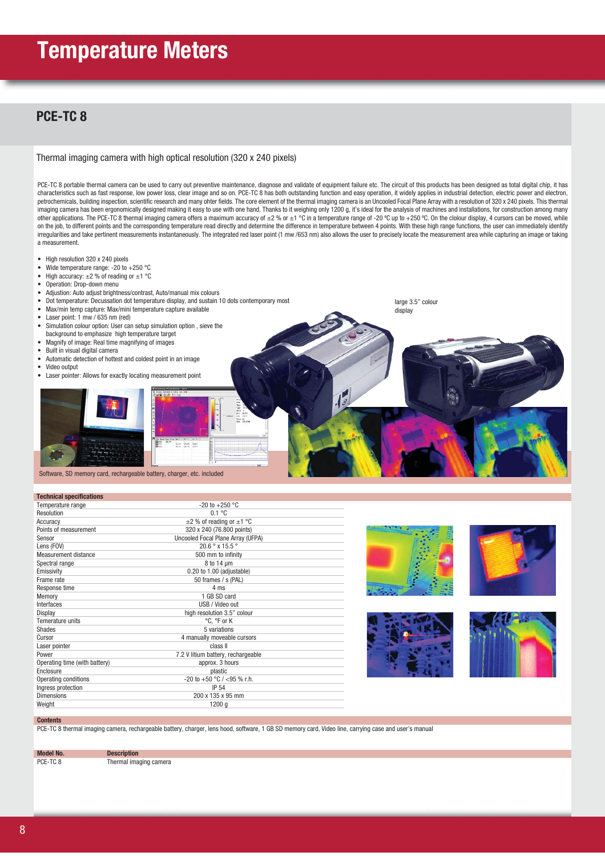### **PCE-TC 8**

#### Thermal imaging camera with high optical resolution (320 x 240 pixels)

PCE-TC 8 portable thermal camera can be used to carry out preventive maintenance, diagnose and validate of equipment failure etc. The circuit of this products has been designed as total digital chip, it has characteristics such as fast response, low power loss, clear image and so on. PCE-TC 8 has both outstanding function and easy operation, it widely applies in industrial detection, electric power and electron, petrochemicals, building inspection, scientific research and many ohter fields. The core element of the thermal imaging camera is an Uncooled Focal Plane Array with a resolution of 320 x 240 pixels. This thermal imaging camera has been ergonomically designed making it easy to use with one hand. Thanks to it weighing only 1200 g, it's ideal for the analysis of machines and installations, for construction among many other applications. The PCE-TC 8 thermal imaging camera offers a maximum accuracy of  $\pm 2$  % or  $\pm 1$  °C in a temperature range of -20 °C up to +250 °C. On the clolour display, 4 cursors can be moved, while on the job, to different points and the corresponding temperature read directly and determine the difference in temperature between 4 points. With these high range functions, the user can immediately identify irregularities and take pertinent measurements instantaneously. The integrated red laser point (1 mw /653 nm) also allows the user to precisely locate the measurement area while capturing an image or taking a measurement.

Ļ

- High resolution 320 x 240 pixels
- Wide temperature range: -20 to +250 °C
- High accuracy:  $\pm 2$  % of reading or  $\pm 1$  °C
- Operation: Drop-down menu<br>• Adjustion: Auto adjust brightn
- Adjustion: Auto adjust brightness/contrast, Auto/manual mix colours
- Dot temperature: Decussation dot temperature display, and sustain 10 dots contemporary most
- Max/min temp capture: Max/mini temperature capture available
- Laser point: 1 mw / 635 nm (red)
- Simulation colour option: User can setup simulation option , sieve the
- background to emphasize high temperature target • Magnify of image: Real time magnifying of images
- 
- Built in visual digital camera
- Automatic detection of hottest and coldest point in an image
- Video output
- Laser pointer: Allows for exactly locating measurement point





Software, SD memory card, rechargeable battery, charger, etc. included

#### **Technical specifications**

| Temperature range             | $-20$ to $+250$ °C                 |
|-------------------------------|------------------------------------|
| Resolution                    | 0.1 °C                             |
| Accuracy                      | $\pm$ 2 % of reading or $\pm$ 1 °C |
| Points of measurement         | 320 x 240 (76.800 points)          |
| Sensor                        | Uncooled Focal Plane Array (UFPA)  |
| Lens (FOV)                    | $20.6^{\circ}$ x 15.5 $^{\circ}$   |
| Measurement distance          | 500 mm to infinity                 |
| Spectral range                | 8 to 14 um                         |
| Emissivity                    | 0.20 to 1.00 (adjustable)          |
| Frame rate                    | 50 frames / s (PAL)                |
| Response time                 | 4 ms                               |
| Memory                        | 1 GB SD card                       |
| Interfaces                    | USB / Video out                    |
| Display                       | high resolution 3.5" colour        |
| Temerature units              | °C. °F or K                        |
| Shades                        | 5 variations                       |
| Cursor                        | 4 manually moveable cursors        |
| Laser pointer                 | class II                           |
| Power                         | 7.2 V litium battery, rechargeable |
| Operating time (with battery) | approx. 3 hours                    |
| Enclosure                     | plastic                            |
| Operating conditions          | -20 to +50 °C / <95 % r.h.         |
| Ingress protection            | <b>IP 54</b>                       |
| <b>Dimensions</b>             | 200 x 135 x 95 mm                  |
| Weight                        | 1200 q                             |
|                               |                                    |



large 3.5" colour display







#### **Contents**

PCE-TC 8 thermal imaging camera, rechargeable battery, charger, lens hood, software, 1 GB SD memory card, Video line, carrying case and user's manual

**Model No. Description**<br>PCE-TC 8 **Thermal** image Thermal imaging camera

8